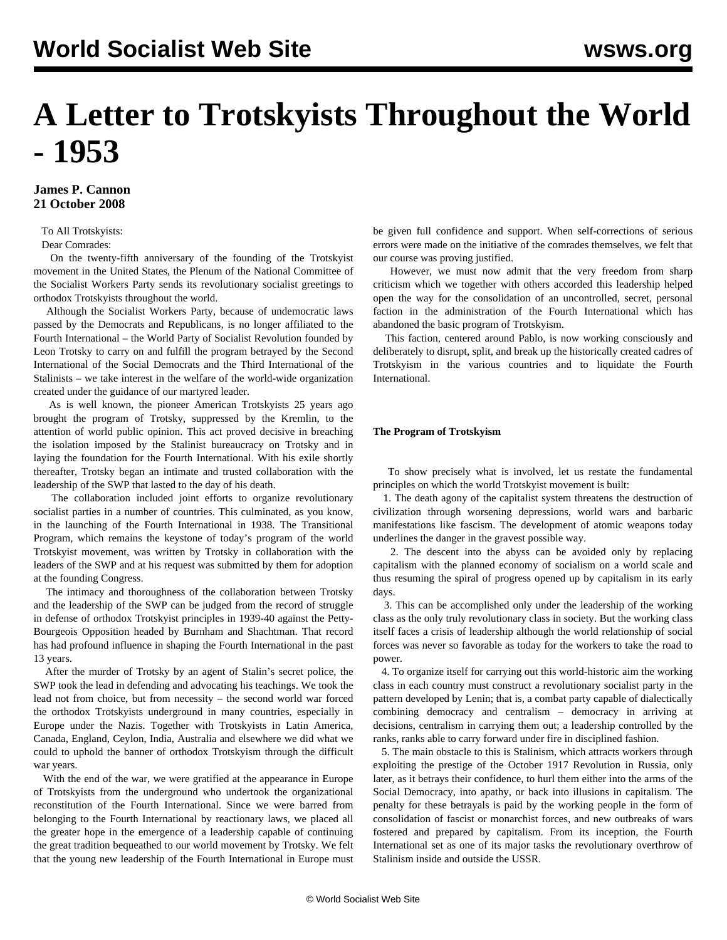# **A Letter to Trotskyists Throughout the World - 1953**

### **James P. Cannon 21 October 2008**

#### To All Trotskyists:

Dear Comrades:

 On the twenty-fifth anniversary of the founding of the Trotskyist movement in the United States, the Plenum of the National Committee of the Socialist Workers Party sends its revolutionary socialist greetings to orthodox Trotskyists throughout the world.

 Although the Socialist Workers Party, because of undemocratic laws passed by the Democrats and Republicans, is no longer affiliated to the Fourth International – the World Party of Socialist Revolution founded by Leon Trotsky to carry on and fulfill the program betrayed by the Second International of the Social Democrats and the Third International of the Stalinists – we take interest in the welfare of the world-wide organization created under the guidance of our martyred leader.

 As is well known, the pioneer American Trotskyists 25 years ago brought the program of Trotsky, suppressed by the Kremlin, to the attention of world public opinion. This act proved decisive in breaching the isolation imposed by the Stalinist bureaucracy on Trotsky and in laying the foundation for the Fourth International. With his exile shortly thereafter, Trotsky began an intimate and trusted collaboration with the leadership of the SWP that lasted to the day of his death.

 The collaboration included joint efforts to organize revolutionary socialist parties in a number of countries. This culminated, as you know, in the launching of the Fourth International in 1938. The Transitional Program, which remains the keystone of today's program of the world Trotskyist movement, was written by Trotsky in collaboration with the leaders of the SWP and at his request was submitted by them for adoption at the founding Congress.

 The intimacy and thoroughness of the collaboration between Trotsky and the leadership of the SWP can be judged from the record of struggle in defense of orthodox Trotskyist principles in 1939-40 against the Petty-Bourgeois Opposition headed by Burnham and Shachtman. That record has had profound influence in shaping the Fourth International in the past 13 years.

 After the murder of Trotsky by an agent of Stalin's secret police, the SWP took the lead in defending and advocating his teachings. We took the lead not from choice, but from necessity – the second world war forced the orthodox Trotskyists underground in many countries, especially in Europe under the Nazis. Together with Trotskyists in Latin America, Canada, England, Ceylon, India, Australia and elsewhere we did what we could to uphold the banner of orthodox Trotskyism through the difficult war years.

 With the end of the war, we were gratified at the appearance in Europe of Trotskyists from the underground who undertook the organizational reconstitution of the Fourth International. Since we were barred from belonging to the Fourth International by reactionary laws, we placed all the greater hope in the emergence of a leadership capable of continuing the great tradition bequeathed to our world movement by Trotsky. We felt that the young new leadership of the Fourth International in Europe must

be given full confidence and support. When self-corrections of serious errors were made on the initiative of the comrades themselves, we felt that our course was proving justified.

 However, we must now admit that the very freedom from sharp criticism which we together with others accorded this leadership helped open the way for the consolidation of an uncontrolled, secret, personal faction in the administration of the Fourth International which has abandoned the basic program of Trotskyism.

 This faction, centered around Pablo, is now working consciously and deliberately to disrupt, split, and break up the historically created cadres of Trotskyism in the various countries and to liquidate the Fourth International.

#### **The Program of Trotskyism**

 To show precisely what is involved, let us restate the fundamental principles on which the world Trotskyist movement is built:

 1. The death agony of the capitalist system threatens the destruction of civilization through worsening depressions, world wars and barbaric manifestations like fascism. The development of atomic weapons today underlines the danger in the gravest possible way.

 2. The descent into the abyss can be avoided only by replacing capitalism with the planned economy of socialism on a world scale and thus resuming the spiral of progress opened up by capitalism in its early days.

 3. This can be accomplished only under the leadership of the working class as the only truly revolutionary class in society. But the working class itself faces a crisis of leadership although the world relationship of social forces was never so favorable as today for the workers to take the road to power.

 4. To organize itself for carrying out this world-historic aim the working class in each country must construct a revolutionary socialist party in the pattern developed by Lenin; that is, a combat party capable of dialectically combining democracy and centralism – democracy in arriving at decisions, centralism in carrying them out; a leadership controlled by the ranks, ranks able to carry forward under fire in disciplined fashion.

 5. The main obstacle to this is Stalinism, which attracts workers through exploiting the prestige of the October 1917 Revolution in Russia, only later, as it betrays their confidence, to hurl them either into the arms of the Social Democracy, into apathy, or back into illusions in capitalism. The penalty for these betrayals is paid by the working people in the form of consolidation of fascist or monarchist forces, and new outbreaks of wars fostered and prepared by capitalism. From its inception, the Fourth International set as one of its major tasks the revolutionary overthrow of Stalinism inside and outside the USSR.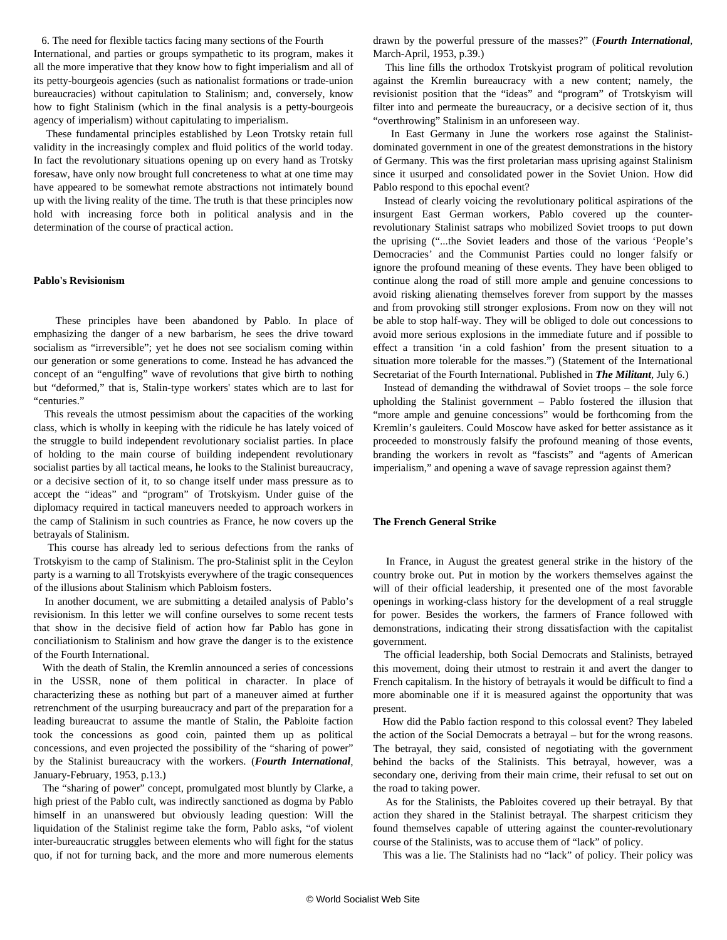6. The need for flexible tactics facing many sections of the Fourth International, and parties or groups sympathetic to its program, makes it all the more imperative that they know how to fight imperialism and all of its petty-bourgeois agencies (such as nationalist formations or trade-union bureaucracies) without capitulation to Stalinism; and, conversely, know how to fight Stalinism (which in the final analysis is a petty-bourgeois agency of imperialism) without capitulating to imperialism.

 These fundamental principles established by Leon Trotsky retain full validity in the increasingly complex and fluid politics of the world today. In fact the revolutionary situations opening up on every hand as Trotsky foresaw, have only now brought full concreteness to what at one time may have appeared to be somewhat remote abstractions not intimately bound up with the living reality of the time. The truth is that these principles now hold with increasing force both in political analysis and in the determination of the course of practical action.

#### **Pablo's Revisionism**

 These principles have been abandoned by Pablo. In place of emphasizing the danger of a new barbarism, he sees the drive toward socialism as "irreversible"; yet he does not see socialism coming within our generation or some generations to come. Instead he has advanced the concept of an "engulfing" wave of revolutions that give birth to nothing but "deformed," that is, Stalin-type workers' states which are to last for "centuries."

 This reveals the utmost pessimism about the capacities of the working class, which is wholly in keeping with the ridicule he has lately voiced of the struggle to build independent revolutionary socialist parties. In place of holding to the main course of building independent revolutionary socialist parties by all tactical means, he looks to the Stalinist bureaucracy, or a decisive section of it, to so change itself under mass pressure as to accept the "ideas" and "program" of Trotskyism. Under guise of the diplomacy required in tactical maneuvers needed to approach workers in the camp of Stalinism in such countries as France, he now covers up the betrayals of Stalinism.

 This course has already led to serious defections from the ranks of Trotskyism to the camp of Stalinism. The pro-Stalinist split in the Ceylon party is a warning to all Trotskyists everywhere of the tragic consequences of the illusions about Stalinism which Pabloism fosters.

 In another document, we are submitting a detailed analysis of Pablo's revisionism. In this letter we will confine ourselves to some recent tests that show in the decisive field of action how far Pablo has gone in conciliationism to Stalinism and how grave the danger is to the existence of the Fourth International.

 With the death of Stalin, the Kremlin announced a series of concessions in the USSR, none of them political in character. In place of characterizing these as nothing but part of a maneuver aimed at further retrenchment of the usurping bureaucracy and part of the preparation for a leading bureaucrat to assume the mantle of Stalin, the Pabloite faction took the concessions as good coin, painted them up as political concessions, and even projected the possibility of the "sharing of power" by the Stalinist bureaucracy with the workers. (*Fourth International*, January-February, 1953, p.13.)

 The "sharing of power" concept, promulgated most bluntly by Clarke, a high priest of the Pablo cult, was indirectly sanctioned as dogma by Pablo himself in an unanswered but obviously leading question: Will the liquidation of the Stalinist regime take the form, Pablo asks, "of violent inter-bureaucratic struggles between elements who will fight for the status quo, if not for turning back, and the more and more numerous elements

drawn by the powerful pressure of the masses?" (*Fourth International*, March-April, 1953, p.39.)

 This line fills the orthodox Trotskyist program of political revolution against the Kremlin bureaucracy with a new content; namely, the revisionist position that the "ideas" and "program" of Trotskyism will filter into and permeate the bureaucracy, or a decisive section of it, thus "overthrowing" Stalinism in an unforeseen way.

 In East Germany in June the workers rose against the Stalinistdominated government in one of the greatest demonstrations in the history of Germany. This was the first proletarian mass uprising against Stalinism since it usurped and consolidated power in the Soviet Union. How did Pablo respond to this epochal event?

 Instead of clearly voicing the revolutionary political aspirations of the insurgent East German workers, Pablo covered up the counterrevolutionary Stalinist satraps who mobilized Soviet troops to put down the uprising ("...the Soviet leaders and those of the various 'People's Democracies' and the Communist Parties could no longer falsify or ignore the profound meaning of these events. They have been obliged to continue along the road of still more ample and genuine concessions to avoid risking alienating themselves forever from support by the masses and from provoking still stronger explosions. From now on they will not be able to stop half-way. They will be obliged to dole out concessions to avoid more serious explosions in the immediate future and if possible to effect a transition 'in a cold fashion' from the present situation to a situation more tolerable for the masses.") (Statement of the International Secretariat of the Fourth International. Published in *The Militant*, July 6.)

 Instead of demanding the withdrawal of Soviet troops – the sole force upholding the Stalinist government – Pablo fostered the illusion that "more ample and genuine concessions" would be forthcoming from the Kremlin's gauleiters. Could Moscow have asked for better assistance as it proceeded to monstrously falsify the profound meaning of those events, branding the workers in revolt as "fascists" and "agents of American imperialism," and opening a wave of savage repression against them?

#### **The French General Strike**

 In France, in August the greatest general strike in the history of the country broke out. Put in motion by the workers themselves against the will of their official leadership, it presented one of the most favorable openings in working-class history for the development of a real struggle for power. Besides the workers, the farmers of France followed with demonstrations, indicating their strong dissatisfaction with the capitalist government.

 The official leadership, both Social Democrats and Stalinists, betrayed this movement, doing their utmost to restrain it and avert the danger to French capitalism. In the history of betrayals it would be difficult to find a more abominable one if it is measured against the opportunity that was present.

 How did the Pablo faction respond to this colossal event? They labeled the action of the Social Democrats a betrayal – but for the wrong reasons. The betrayal, they said, consisted of negotiating with the government behind the backs of the Stalinists. This betrayal, however, was a secondary one, deriving from their main crime, their refusal to set out on the road to taking power.

 As for the Stalinists, the Pabloites covered up their betrayal. By that action they shared in the Stalinist betrayal. The sharpest criticism they found themselves capable of uttering against the counter-revolutionary course of the Stalinists, was to accuse them of "lack" of policy.

This was a lie. The Stalinists had no "lack" of policy. Their policy was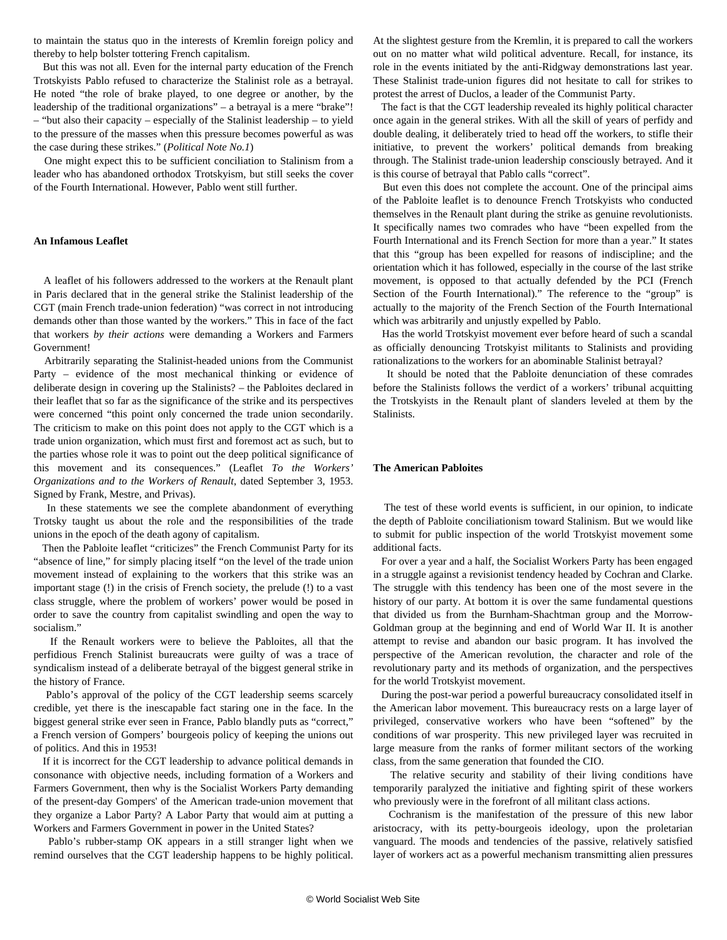to maintain the status quo in the interests of Kremlin foreign policy and thereby to help bolster tottering French capitalism.

 But this was not all. Even for the internal party education of the French Trotskyists Pablo refused to characterize the Stalinist role as a betrayal. He noted "the role of brake played, to one degree or another, by the leadership of the traditional organizations" – a betrayal is a mere "brake"! – "but also their capacity – especially of the Stalinist leadership – to yield to the pressure of the masses when this pressure becomes powerful as was the case during these strikes." (*Political Note No.1*)

 One might expect this to be sufficient conciliation to Stalinism from a leader who has abandoned orthodox Trotskyism, but still seeks the cover of the Fourth International. However, Pablo went still further.

#### **An Infamous Leaflet**

 A leaflet of his followers addressed to the workers at the Renault plant in Paris declared that in the general strike the Stalinist leadership of the CGT (main French trade-union federation) "was correct in not introducing demands other than those wanted by the workers." This in face of the fact that workers *by their actions* were demanding a Workers and Farmers Government!

 Arbitrarily separating the Stalinist-headed unions from the Communist Party – evidence of the most mechanical thinking or evidence of deliberate design in covering up the Stalinists? – the Pabloites declared in their leaflet that so far as the significance of the strike and its perspectives were concerned "this point only concerned the trade union secondarily. The criticism to make on this point does not apply to the CGT which is a trade union organization, which must first and foremost act as such, but to the parties whose role it was to point out the deep political significance of this movement and its consequences." (Leaflet *To the Workers' Organizations and to the Workers of Renault*, dated September 3, 1953. Signed by Frank, Mestre, and Privas).

 In these statements we see the complete abandonment of everything Trotsky taught us about the role and the responsibilities of the trade unions in the epoch of the death agony of capitalism.

 Then the Pabloite leaflet "criticizes" the French Communist Party for its "absence of line," for simply placing itself "on the level of the trade union movement instead of explaining to the workers that this strike was an important stage (!) in the crisis of French society, the prelude (!) to a vast class struggle, where the problem of workers' power would be posed in order to save the country from capitalist swindling and open the way to socialism."

 If the Renault workers were to believe the Pabloites, all that the perfidious French Stalinist bureaucrats were guilty of was a trace of syndicalism instead of a deliberate betrayal of the biggest general strike in the history of France.

 Pablo's approval of the policy of the CGT leadership seems scarcely credible, yet there is the inescapable fact staring one in the face. In the biggest general strike ever seen in France, Pablo blandly puts as "correct," a French version of Gompers' bourgeois policy of keeping the unions out of politics. And this in 1953!

 If it is incorrect for the CGT leadership to advance political demands in consonance with objective needs, including formation of a Workers and Farmers Government, then why is the Socialist Workers Party demanding of the present-day Gompers' of the American trade-union movement that they organize a Labor Party? A Labor Party that would aim at putting a Workers and Farmers Government in power in the United States?

 Pablo's rubber-stamp OK appears in a still stranger light when we remind ourselves that the CGT leadership happens to be highly political. At the slightest gesture from the Kremlin, it is prepared to call the workers out on no matter what wild political adventure. Recall, for instance, its role in the events initiated by the anti-Ridgway demonstrations last year. These Stalinist trade-union figures did not hesitate to call for strikes to protest the arrest of Duclos, a leader of the Communist Party.

 The fact is that the CGT leadership revealed its highly political character once again in the general strikes. With all the skill of years of perfidy and double dealing, it deliberately tried to head off the workers, to stifle their initiative, to prevent the workers' political demands from breaking through. The Stalinist trade-union leadership consciously betrayed. And it is this course of betrayal that Pablo calls "correct".

 But even this does not complete the account. One of the principal aims of the Pabloite leaflet is to denounce French Trotskyists who conducted themselves in the Renault plant during the strike as genuine revolutionists. It specifically names two comrades who have "been expelled from the Fourth International and its French Section for more than a year." It states that this "group has been expelled for reasons of indiscipline; and the orientation which it has followed, especially in the course of the last strike movement, is opposed to that actually defended by the PCI (French Section of the Fourth International)." The reference to the "group" is actually to the majority of the French Section of the Fourth International which was arbitrarily and unjustly expelled by Pablo.

 Has the world Trotskyist movement ever before heard of such a scandal as officially denouncing Trotskyist militants to Stalinists and providing rationalizations to the workers for an abominable Stalinist betrayal?

 It should be noted that the Pabloite denunciation of these comrades before the Stalinists follows the verdict of a workers' tribunal acquitting the Trotskyists in the Renault plant of slanders leveled at them by the Stalinists.

#### **The American Pabloites**

 The test of these world events is sufficient, in our opinion, to indicate the depth of Pabloite conciliationism toward Stalinism. But we would like to submit for public inspection of the world Trotskyist movement some additional facts.

 For over a year and a half, the Socialist Workers Party has been engaged in a struggle against a revisionist tendency headed by Cochran and Clarke. The struggle with this tendency has been one of the most severe in the history of our party. At bottom it is over the same fundamental questions that divided us from the Burnham-Shachtman group and the Morrow-Goldman group at the beginning and end of World War II. It is another attempt to revise and abandon our basic program. It has involved the perspective of the American revolution, the character and role of the revolutionary party and its methods of organization, and the perspectives for the world Trotskyist movement.

 During the post-war period a powerful bureaucracy consolidated itself in the American labor movement. This bureaucracy rests on a large layer of privileged, conservative workers who have been "softened" by the conditions of war prosperity. This new privileged layer was recruited in large measure from the ranks of former militant sectors of the working class, from the same generation that founded the CIO.

 The relative security and stability of their living conditions have temporarily paralyzed the initiative and fighting spirit of these workers who previously were in the forefront of all militant class actions.

 Cochranism is the manifestation of the pressure of this new labor aristocracy, with its petty-bourgeois ideology, upon the proletarian vanguard. The moods and tendencies of the passive, relatively satisfied layer of workers act as a powerful mechanism transmitting alien pressures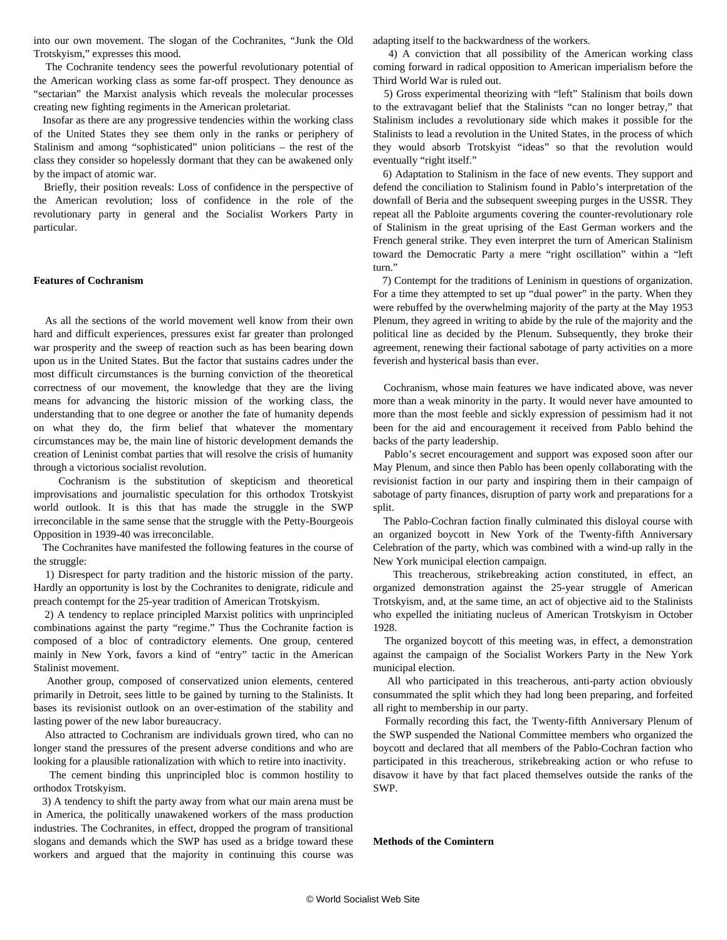into our own movement. The slogan of the Cochranites, "Junk the Old Trotskyism," expresses this mood.

 The Cochranite tendency sees the powerful revolutionary potential of the American working class as some far-off prospect. They denounce as "sectarian" the Marxist analysis which reveals the molecular processes creating new fighting regiments in the American proletariat.

 Insofar as there are any progressive tendencies within the working class of the United States they see them only in the ranks or periphery of Stalinism and among "sophisticated" union politicians – the rest of the class they consider so hopelessly dormant that they can be awakened only by the impact of atomic war.

 Briefly, their position reveals: Loss of confidence in the perspective of the American revolution; loss of confidence in the role of the revolutionary party in general and the Socialist Workers Party in particular.

#### **Features of Cochranism**

 As all the sections of the world movement well know from their own hard and difficult experiences, pressures exist far greater than prolonged war prosperity and the sweep of reaction such as has been bearing down upon us in the United States. But the factor that sustains cadres under the most difficult circumstances is the burning conviction of the theoretical correctness of our movement, the knowledge that they are the living means for advancing the historic mission of the working class, the understanding that to one degree or another the fate of humanity depends on what they do, the firm belief that whatever the momentary circumstances may be, the main line of historic development demands the creation of Leninist combat parties that will resolve the crisis of humanity through a victorious socialist revolution.

 Cochranism is the substitution of skepticism and theoretical improvisations and journalistic speculation for this orthodox Trotskyist world outlook. It is this that has made the struggle in the SWP irreconcilable in the same sense that the struggle with the Petty-Bourgeois Opposition in 1939-40 was irreconcilable.

 The Cochranites have manifested the following features in the course of the struggle:

 1) Disrespect for party tradition and the historic mission of the party. Hardly an opportunity is lost by the Cochranites to denigrate, ridicule and preach contempt for the 25-year tradition of American Trotskyism.

 2) A tendency to replace principled Marxist politics with unprincipled combinations against the party "regime." Thus the Cochranite faction is composed of a bloc of contradictory elements. One group, centered mainly in New York, favors a kind of "entry" tactic in the American Stalinist movement.

 Another group, composed of conservatized union elements, centered primarily in Detroit, sees little to be gained by turning to the Stalinists. It bases its revisionist outlook on an over-estimation of the stability and lasting power of the new labor bureaucracy.

 Also attracted to Cochranism are individuals grown tired, who can no longer stand the pressures of the present adverse conditions and who are looking for a plausible rationalization with which to retire into inactivity.

 The cement binding this unprincipled bloc is common hostility to orthodox Trotskyism.

 3) A tendency to shift the party away from what our main arena must be in America, the politically unawakened workers of the mass production industries. The Cochranites, in effect, dropped the program of transitional slogans and demands which the SWP has used as a bridge toward these workers and argued that the majority in continuing this course was adapting itself to the backwardness of the workers.

 4) A conviction that all possibility of the American working class coming forward in radical opposition to American imperialism before the Third World War is ruled out.

 5) Gross experimental theorizing with "left" Stalinism that boils down to the extravagant belief that the Stalinists "can no longer betray," that Stalinism includes a revolutionary side which makes it possible for the Stalinists to lead a revolution in the United States, in the process of which they would absorb Trotskyist "ideas" so that the revolution would eventually "right itself."

 6) Adaptation to Stalinism in the face of new events. They support and defend the conciliation to Stalinism found in Pablo's interpretation of the downfall of Beria and the subsequent sweeping purges in the USSR. They repeat all the Pabloite arguments covering the counter-revolutionary role of Stalinism in the great uprising of the East German workers and the French general strike. They even interpret the turn of American Stalinism toward the Democratic Party a mere "right oscillation" within a "left turn."

 7) Contempt for the traditions of Leninism in questions of organization. For a time they attempted to set up "dual power" in the party. When they were rebuffed by the overwhelming majority of the party at the May 1953 Plenum, they agreed in writing to abide by the rule of the majority and the political line as decided by the Plenum. Subsequently, they broke their agreement, renewing their factional sabotage of party activities on a more feverish and hysterical basis than ever.

 Cochranism, whose main features we have indicated above, was never more than a weak minority in the party. It would never have amounted to more than the most feeble and sickly expression of pessimism had it not been for the aid and encouragement it received from Pablo behind the backs of the party leadership.

 Pablo's secret encouragement and support was exposed soon after our May Plenum, and since then Pablo has been openly collaborating with the revisionist faction in our party and inspiring them in their campaign of sabotage of party finances, disruption of party work and preparations for a split.

 The Pablo-Cochran faction finally culminated this disloyal course with an organized boycott in New York of the Twenty-fifth Anniversary Celebration of the party, which was combined with a wind-up rally in the New York municipal election campaign.

 This treacherous, strikebreaking action constituted, in effect, an organized demonstration against the 25-year struggle of American Trotskyism, and, at the same time, an act of objective aid to the Stalinists who expelled the initiating nucleus of American Trotskyism in October 1928.

 The organized boycott of this meeting was, in effect, a demonstration against the campaign of the Socialist Workers Party in the New York municipal election.

 All who participated in this treacherous, anti-party action obviously consummated the split which they had long been preparing, and forfeited all right to membership in our party.

 Formally recording this fact, the Twenty-fifth Anniversary Plenum of the SWP suspended the National Committee members who organized the boycott and declared that all members of the Pablo-Cochran faction who participated in this treacherous, strikebreaking action or who refuse to disavow it have by that fact placed themselves outside the ranks of the SWP.

**Methods of the Comintern**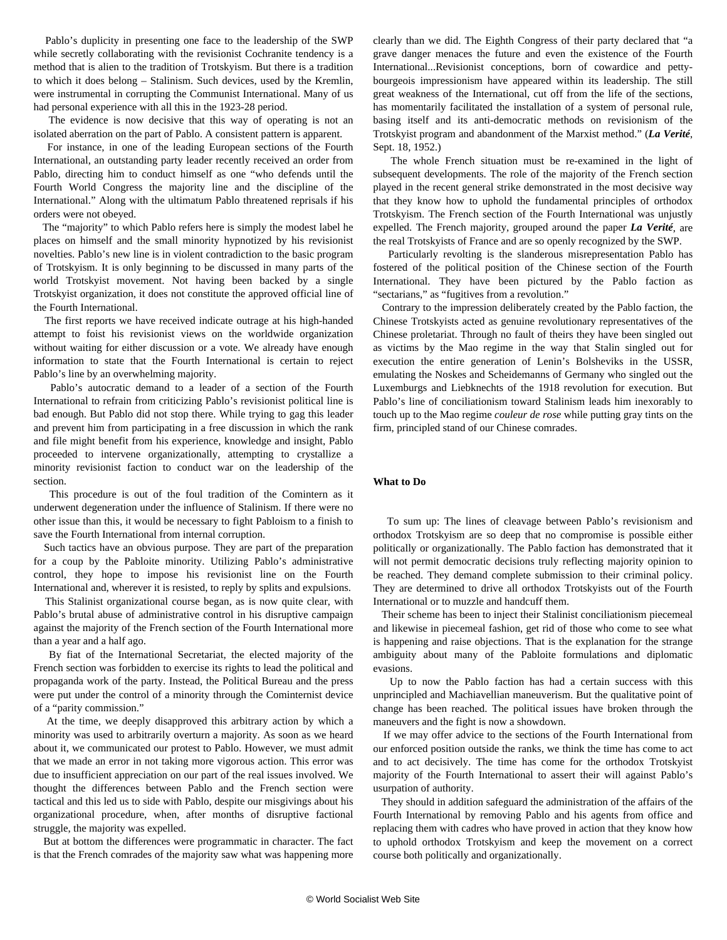Pablo's duplicity in presenting one face to the leadership of the SWP while secretly collaborating with the revisionist Cochranite tendency is a method that is alien to the tradition of Trotskyism. But there is a tradition to which it does belong – Stalinism. Such devices, used by the Kremlin, were instrumental in corrupting the Communist International. Many of us had personal experience with all this in the 1923-28 period.

 The evidence is now decisive that this way of operating is not an isolated aberration on the part of Pablo. A consistent pattern is apparent.

 For instance, in one of the leading European sections of the Fourth International, an outstanding party leader recently received an order from Pablo, directing him to conduct himself as one "who defends until the Fourth World Congress the majority line and the discipline of the International." Along with the ultimatum Pablo threatened reprisals if his orders were not obeyed.

 The "majority" to which Pablo refers here is simply the modest label he places on himself and the small minority hypnotized by his revisionist novelties. Pablo's new line is in violent contradiction to the basic program of Trotskyism. It is only beginning to be discussed in many parts of the world Trotskyist movement. Not having been backed by a single Trotskyist organization, it does not constitute the approved official line of the Fourth International.

 The first reports we have received indicate outrage at his high-handed attempt to foist his revisionist views on the worldwide organization without waiting for either discussion or a vote. We already have enough information to state that the Fourth International is certain to reject Pablo's line by an overwhelming majority.

 Pablo's autocratic demand to a leader of a section of the Fourth International to refrain from criticizing Pablo's revisionist political line is bad enough. But Pablo did not stop there. While trying to gag this leader and prevent him from participating in a free discussion in which the rank and file might benefit from his experience, knowledge and insight, Pablo proceeded to intervene organizationally, attempting to crystallize a minority revisionist faction to conduct war on the leadership of the section.

 This procedure is out of the foul tradition of the Comintern as it underwent degeneration under the influence of Stalinism. If there were no other issue than this, it would be necessary to fight Pabloism to a finish to save the Fourth International from internal corruption.

 Such tactics have an obvious purpose. They are part of the preparation for a coup by the Pabloite minority. Utilizing Pablo's administrative control, they hope to impose his revisionist line on the Fourth International and, wherever it is resisted, to reply by splits and expulsions.

 This Stalinist organizational course began, as is now quite clear, with Pablo's brutal abuse of administrative control in his disruptive campaign against the majority of the French section of the Fourth International more than a year and a half ago.

 By fiat of the International Secretariat, the elected majority of the French section was forbidden to exercise its rights to lead the political and propaganda work of the party. Instead, the Political Bureau and the press were put under the control of a minority through the Cominternist device of a "parity commission."

 At the time, we deeply disapproved this arbitrary action by which a minority was used to arbitrarily overturn a majority. As soon as we heard about it, we communicated our protest to Pablo. However, we must admit that we made an error in not taking more vigorous action. This error was due to insufficient appreciation on our part of the real issues involved. We thought the differences between Pablo and the French section were tactical and this led us to side with Pablo, despite our misgivings about his organizational procedure, when, after months of disruptive factional struggle, the majority was expelled.

 But at bottom the differences were programmatic in character. The fact is that the French comrades of the majority saw what was happening more

clearly than we did. The Eighth Congress of their party declared that "a grave danger menaces the future and even the existence of the Fourth International...Revisionist conceptions, born of cowardice and pettybourgeois impressionism have appeared within its leadership. The still great weakness of the International, cut off from the life of the sections, has momentarily facilitated the installation of a system of personal rule, basing itself and its anti-democratic methods on revisionism of the Trotskyist program and abandonment of the Marxist method." (*La Verité*, Sept. 18, 1952.)

 The whole French situation must be re-examined in the light of subsequent developments. The role of the majority of the French section played in the recent general strike demonstrated in the most decisive way that they know how to uphold the fundamental principles of orthodox Trotskyism. The French section of the Fourth International was unjustly expelled. The French majority, grouped around the paper *La Verité*, are the real Trotskyists of France and are so openly recognized by the SWP.

 Particularly revolting is the slanderous misrepresentation Pablo has fostered of the political position of the Chinese section of the Fourth International. They have been pictured by the Pablo faction as "sectarians," as "fugitives from a revolution."

 Contrary to the impression deliberately created by the Pablo faction, the Chinese Trotskyists acted as genuine revolutionary representatives of the Chinese proletariat. Through no fault of theirs they have been singled out as victims by the Mao regime in the way that Stalin singled out for execution the entire generation of Lenin's Bolsheviks in the USSR, emulating the Noskes and Scheidemanns of Germany who singled out the Luxemburgs and Liebknechts of the 1918 revolution for execution. But Pablo's line of conciliationism toward Stalinism leads him inexorably to touch up to the Mao regime *couleur de rose* while putting gray tints on the firm, principled stand of our Chinese comrades.

#### **What to Do**

 To sum up: The lines of cleavage between Pablo's revisionism and orthodox Trotskyism are so deep that no compromise is possible either politically or organizationally. The Pablo faction has demonstrated that it will not permit democratic decisions truly reflecting majority opinion to be reached. They demand complete submission to their criminal policy. They are determined to drive all orthodox Trotskyists out of the Fourth International or to muzzle and handcuff them.

 Their scheme has been to inject their Stalinist conciliationism piecemeal and likewise in piecemeal fashion, get rid of those who come to see what is happening and raise objections. That is the explanation for the strange ambiguity about many of the Pabloite formulations and diplomatic evasions.

 Up to now the Pablo faction has had a certain success with this unprincipled and Machiavellian maneuverism. But the qualitative point of change has been reached. The political issues have broken through the maneuvers and the fight is now a showdown.

 If we may offer advice to the sections of the Fourth International from our enforced position outside the ranks, we think the time has come to act and to act decisively. The time has come for the orthodox Trotskyist majority of the Fourth International to assert their will against Pablo's usurpation of authority.

 They should in addition safeguard the administration of the affairs of the Fourth International by removing Pablo and his agents from office and replacing them with cadres who have proved in action that they know how to uphold orthodox Trotskyism and keep the movement on a correct course both politically and organizationally.